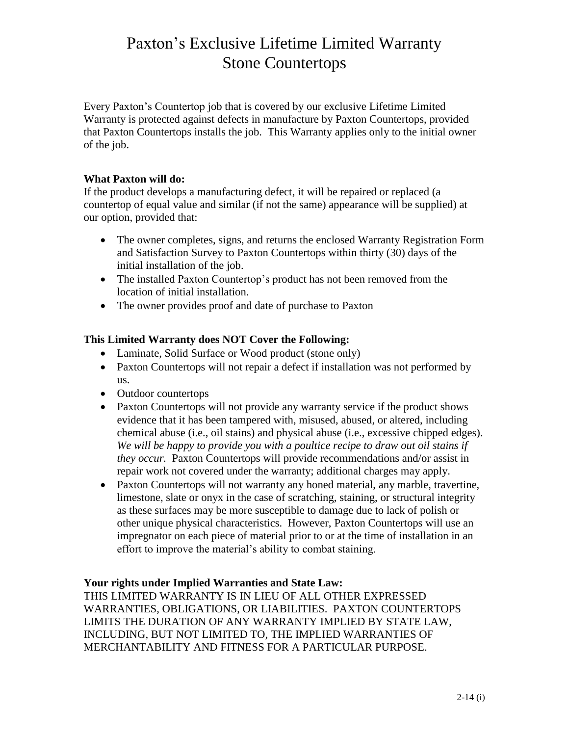# Paxton's Exclusive Lifetime Limited Warranty Stone Countertops

Every Paxton's Countertop job that is covered by our exclusive Lifetime Limited Warranty is protected against defects in manufacture by Paxton Countertops, provided that Paxton Countertops installs the job. This Warranty applies only to the initial owner of the job.

### **What Paxton will do:**

If the product develops a manufacturing defect, it will be repaired or replaced (a countertop of equal value and similar (if not the same) appearance will be supplied) at our option, provided that:

- The owner completes, signs, and returns the enclosed Warranty Registration Form and Satisfaction Survey to Paxton Countertops within thirty (30) days of the initial installation of the job.
- The installed Paxton Countertop's product has not been removed from the location of initial installation.
- The owner provides proof and date of purchase to Paxton

## **This Limited Warranty does NOT Cover the Following:**

- Laminate, Solid Surface or Wood product (stone only)
- Paxton Countertops will not repair a defect if installation was not performed by us.
- Outdoor countertops
- Paxton Countertops will not provide any warranty service if the product shows evidence that it has been tampered with, misused, abused, or altered, including chemical abuse (i.e., oil stains) and physical abuse (i.e., excessive chipped edges). *We will be happy to provide you with a poultice recipe to draw out oil stains if they occur.* Paxton Countertops will provide recommendations and/or assist in repair work not covered under the warranty; additional charges may apply.
- Paxton Countertops will not warranty any honed material, any marble, travertine, limestone, slate or onyx in the case of scratching, staining, or structural integrity as these surfaces may be more susceptible to damage due to lack of polish or other unique physical characteristics. However, Paxton Countertops will use an impregnator on each piece of material prior to or at the time of installation in an effort to improve the material's ability to combat staining.

### **Your rights under Implied Warranties and State Law:**

THIS LIMITED WARRANTY IS IN LIEU OF ALL OTHER EXPRESSED WARRANTIES, OBLIGATIONS, OR LIABILITIES. PAXTON COUNTERTOPS LIMITS THE DURATION OF ANY WARRANTY IMPLIED BY STATE LAW, INCLUDING, BUT NOT LIMITED TO, THE IMPLIED WARRANTIES OF MERCHANTABILITY AND FITNESS FOR A PARTICULAR PURPOSE.